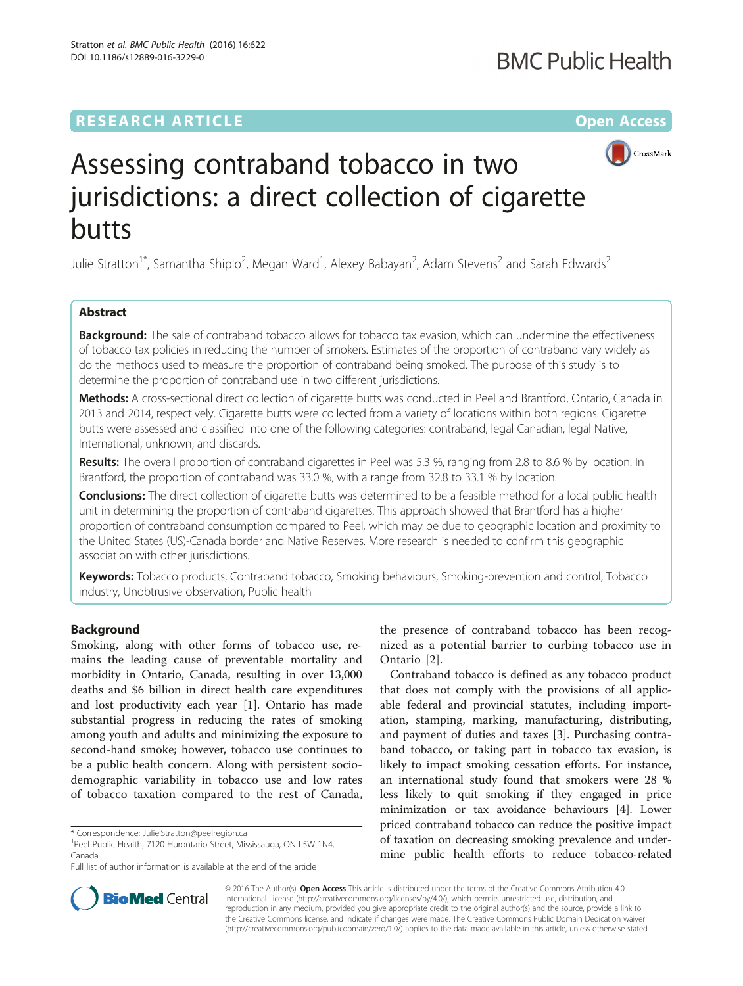Stratton et al. BMC Public Health (2016) 16:622

DOI 10.1186/s12889-016-3229-0



# Assessing contraband tobacco in two jurisdictions: a direct collection of cigarette butts

Julie Stratton<sup>1\*</sup>, Samantha Shiplo<sup>2</sup>, Megan Ward<sup>1</sup>, Alexey Babayan<sup>2</sup>, Adam Stevens<sup>2</sup> and Sarah Edwards<sup>2</sup>

## Abstract

**Background:** The sale of contraband tobacco allows for tobacco tax evasion, which can undermine the effectiveness of tobacco tax policies in reducing the number of smokers. Estimates of the proportion of contraband vary widely as do the methods used to measure the proportion of contraband being smoked. The purpose of this study is to determine the proportion of contraband use in two different jurisdictions.

Methods: A cross-sectional direct collection of cigarette butts was conducted in Peel and Brantford, Ontario, Canada in 2013 and 2014, respectively. Cigarette butts were collected from a variety of locations within both regions. Cigarette butts were assessed and classified into one of the following categories: contraband, legal Canadian, legal Native, International, unknown, and discards.

Results: The overall proportion of contraband cigarettes in Peel was 5.3 %, ranging from 2.8 to 8.6 % by location. In Brantford, the proportion of contraband was 33.0 %, with a range from 32.8 to 33.1 % by location.

Conclusions: The direct collection of cigarette butts was determined to be a feasible method for a local public health unit in determining the proportion of contraband cigarettes. This approach showed that Brantford has a higher proportion of contraband consumption compared to Peel, which may be due to geographic location and proximity to the United States (US)-Canada border and Native Reserves. More research is needed to confirm this geographic association with other jurisdictions.

Keywords: Tobacco products, Contraband tobacco, Smoking behaviours, Smoking-prevention and control, Tobacco industry, Unobtrusive observation, Public health

# Background

Smoking, along with other forms of tobacco use, remains the leading cause of preventable mortality and morbidity in Ontario, Canada, resulting in over 13,000 deaths and \$6 billion in direct health care expenditures and lost productivity each year [\[1](#page-5-0)]. Ontario has made substantial progress in reducing the rates of smoking among youth and adults and minimizing the exposure to second-hand smoke; however, tobacco use continues to be a public health concern. Along with persistent sociodemographic variability in tobacco use and low rates of tobacco taxation compared to the rest of Canada,

<sup>1</sup> Peel Public Health, 7120 Hurontario Street, Mississauga, ON L5W 1N4, Canada

the presence of contraband tobacco has been recognized as a potential barrier to curbing tobacco use in Ontario [[2\]](#page-5-0).

Contraband tobacco is defined as any tobacco product that does not comply with the provisions of all applicable federal and provincial statutes, including importation, stamping, marking, manufacturing, distributing, and payment of duties and taxes [[3\]](#page-5-0). Purchasing contraband tobacco, or taking part in tobacco tax evasion, is likely to impact smoking cessation efforts. For instance, an international study found that smokers were 28 % less likely to quit smoking if they engaged in price minimization or tax avoidance behaviours [\[4\]](#page-5-0). Lower priced contraband tobacco can reduce the positive impact of taxation on decreasing smoking prevalence and undermine public health efforts to reduce tobacco-related



© 2016 The Author(s). Open Access This article is distributed under the terms of the Creative Commons Attribution 4.0 International License [\(http://creativecommons.org/licenses/by/4.0/](http://creativecommons.org/licenses/by/4.0/)), which permits unrestricted use, distribution, and reproduction in any medium, provided you give appropriate credit to the original author(s) and the source, provide a link to the Creative Commons license, and indicate if changes were made. The Creative Commons Public Domain Dedication waiver [\(http://creativecommons.org/publicdomain/zero/1.0/](http://creativecommons.org/publicdomain/zero/1.0/)) applies to the data made available in this article, unless otherwise stated.

<sup>\*</sup> Correspondence: [Julie.Stratton@peelregion.ca](mailto:Julie.Stratton@peelregion.ca) <sup>1</sup>

Full list of author information is available at the end of the article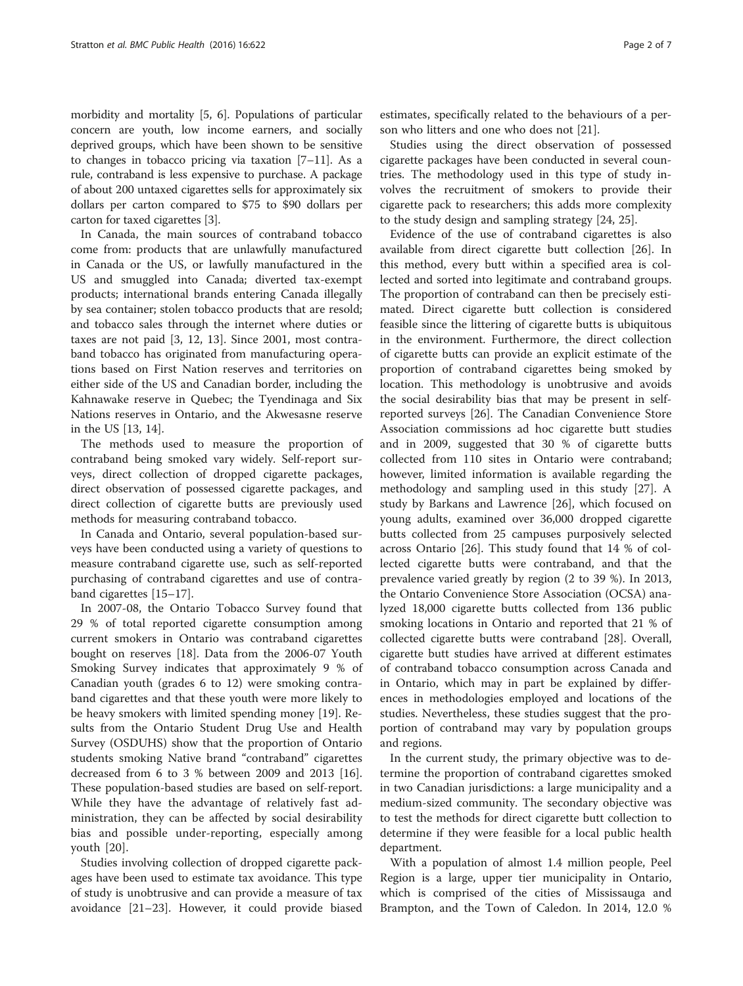morbidity and mortality [\[5, 6](#page-5-0)]. Populations of particular concern are youth, low income earners, and socially deprived groups, which have been shown to be sensitive to changes in tobacco pricing via taxation [\[7](#page-5-0)–[11](#page-6-0)]. As a rule, contraband is less expensive to purchase. A package of about 200 untaxed cigarettes sells for approximately six dollars per carton compared to \$75 to \$90 dollars per carton for taxed cigarettes [[3\]](#page-5-0).

In Canada, the main sources of contraband tobacco come from: products that are unlawfully manufactured in Canada or the US, or lawfully manufactured in the US and smuggled into Canada; diverted tax-exempt products; international brands entering Canada illegally by sea container; stolen tobacco products that are resold; and tobacco sales through the internet where duties or taxes are not paid [[3,](#page-5-0) [12](#page-6-0), [13](#page-6-0)]. Since 2001, most contraband tobacco has originated from manufacturing operations based on First Nation reserves and territories on either side of the US and Canadian border, including the Kahnawake reserve in Quebec; the Tyendinaga and Six Nations reserves in Ontario, and the Akwesasne reserve in the US [[13, 14](#page-6-0)].

The methods used to measure the proportion of contraband being smoked vary widely. Self-report surveys, direct collection of dropped cigarette packages, direct observation of possessed cigarette packages, and direct collection of cigarette butts are previously used methods for measuring contraband tobacco.

In Canada and Ontario, several population-based surveys have been conducted using a variety of questions to measure contraband cigarette use, such as self-reported purchasing of contraband cigarettes and use of contraband cigarettes [[15](#page-6-0)–[17](#page-6-0)].

In 2007-08, the Ontario Tobacco Survey found that 29 % of total reported cigarette consumption among current smokers in Ontario was contraband cigarettes bought on reserves [[18](#page-6-0)]. Data from the 2006-07 Youth Smoking Survey indicates that approximately 9 % of Canadian youth (grades 6 to 12) were smoking contraband cigarettes and that these youth were more likely to be heavy smokers with limited spending money [\[19](#page-6-0)]. Results from the Ontario Student Drug Use and Health Survey (OSDUHS) show that the proportion of Ontario students smoking Native brand "contraband" cigarettes decreased from 6 to 3 % between 2009 and 2013 [\[16](#page-6-0)]. These population-based studies are based on self-report. While they have the advantage of relatively fast administration, they can be affected by social desirability bias and possible under-reporting, especially among youth [[20\]](#page-6-0).

Studies involving collection of dropped cigarette packages have been used to estimate tax avoidance. This type of study is unobtrusive and can provide a measure of tax avoidance [\[21](#page-6-0)–[23\]](#page-6-0). However, it could provide biased

estimates, specifically related to the behaviours of a person who litters and one who does not [[21\]](#page-6-0).

Studies using the direct observation of possessed cigarette packages have been conducted in several countries. The methodology used in this type of study involves the recruitment of smokers to provide their cigarette pack to researchers; this adds more complexity to the study design and sampling strategy [\[24, 25\]](#page-6-0).

Evidence of the use of contraband cigarettes is also available from direct cigarette butt collection [\[26](#page-6-0)]. In this method, every butt within a specified area is collected and sorted into legitimate and contraband groups. The proportion of contraband can then be precisely estimated. Direct cigarette butt collection is considered feasible since the littering of cigarette butts is ubiquitous in the environment. Furthermore, the direct collection of cigarette butts can provide an explicit estimate of the proportion of contraband cigarettes being smoked by location. This methodology is unobtrusive and avoids the social desirability bias that may be present in selfreported surveys [\[26](#page-6-0)]. The Canadian Convenience Store Association commissions ad hoc cigarette butt studies and in 2009, suggested that 30 % of cigarette butts collected from 110 sites in Ontario were contraband; however, limited information is available regarding the methodology and sampling used in this study [\[27](#page-6-0)]. A study by Barkans and Lawrence [[26](#page-6-0)], which focused on young adults, examined over 36,000 dropped cigarette butts collected from 25 campuses purposively selected across Ontario [[26\]](#page-6-0). This study found that 14 % of collected cigarette butts were contraband, and that the prevalence varied greatly by region (2 to 39 %). In 2013, the Ontario Convenience Store Association (OCSA) analyzed 18,000 cigarette butts collected from 136 public smoking locations in Ontario and reported that 21 % of collected cigarette butts were contraband [\[28\]](#page-6-0). Overall, cigarette butt studies have arrived at different estimates of contraband tobacco consumption across Canada and in Ontario, which may in part be explained by differences in methodologies employed and locations of the studies. Nevertheless, these studies suggest that the proportion of contraband may vary by population groups and regions.

In the current study, the primary objective was to determine the proportion of contraband cigarettes smoked in two Canadian jurisdictions: a large municipality and a medium-sized community. The secondary objective was to test the methods for direct cigarette butt collection to determine if they were feasible for a local public health department.

With a population of almost 1.4 million people, Peel Region is a large, upper tier municipality in Ontario, which is comprised of the cities of Mississauga and Brampton, and the Town of Caledon. In 2014, 12.0 %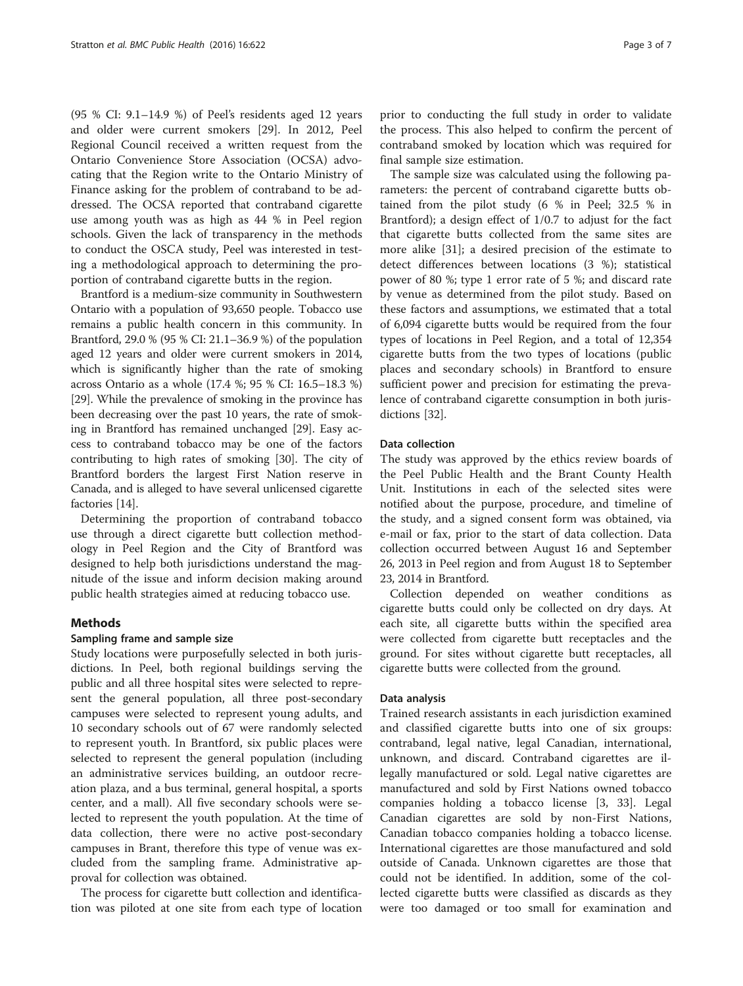(95 % CI: 9.1–14.9 %) of Peel's residents aged 12 years and older were current smokers [[29\]](#page-6-0). In 2012, Peel Regional Council received a written request from the Ontario Convenience Store Association (OCSA) advocating that the Region write to the Ontario Ministry of Finance asking for the problem of contraband to be addressed. The OCSA reported that contraband cigarette use among youth was as high as 44 % in Peel region schools. Given the lack of transparency in the methods to conduct the OSCA study, Peel was interested in testing a methodological approach to determining the proportion of contraband cigarette butts in the region.

Brantford is a medium-size community in Southwestern Ontario with a population of 93,650 people. Tobacco use remains a public health concern in this community. In Brantford, 29.0 % (95 % CI: 21.1–36.9 %) of the population aged 12 years and older were current smokers in 2014, which is significantly higher than the rate of smoking across Ontario as a whole (17.4 %; 95 % CI: 16.5–18.3 %) [[29](#page-6-0)]. While the prevalence of smoking in the province has been decreasing over the past 10 years, the rate of smoking in Brantford has remained unchanged [[29](#page-6-0)]. Easy access to contraband tobacco may be one of the factors contributing to high rates of smoking [[30](#page-6-0)]. The city of Brantford borders the largest First Nation reserve in Canada, and is alleged to have several unlicensed cigarette factories [\[14\]](#page-6-0).

Determining the proportion of contraband tobacco use through a direct cigarette butt collection methodology in Peel Region and the City of Brantford was designed to help both jurisdictions understand the magnitude of the issue and inform decision making around public health strategies aimed at reducing tobacco use.

## Methods

## Sampling frame and sample size

Study locations were purposefully selected in both jurisdictions. In Peel, both regional buildings serving the public and all three hospital sites were selected to represent the general population, all three post-secondary campuses were selected to represent young adults, and 10 secondary schools out of 67 were randomly selected to represent youth. In Brantford, six public places were selected to represent the general population (including an administrative services building, an outdoor recreation plaza, and a bus terminal, general hospital, a sports center, and a mall). All five secondary schools were selected to represent the youth population. At the time of data collection, there were no active post-secondary campuses in Brant, therefore this type of venue was excluded from the sampling frame. Administrative approval for collection was obtained.

The process for cigarette butt collection and identification was piloted at one site from each type of location prior to conducting the full study in order to validate the process. This also helped to confirm the percent of contraband smoked by location which was required for final sample size estimation.

The sample size was calculated using the following parameters: the percent of contraband cigarette butts obtained from the pilot study (6 % in Peel; 32.5 % in Brantford); a design effect of 1/0.7 to adjust for the fact that cigarette butts collected from the same sites are more alike [\[31](#page-6-0)]; a desired precision of the estimate to detect differences between locations (3 %); statistical power of 80 %; type 1 error rate of 5 %; and discard rate by venue as determined from the pilot study. Based on these factors and assumptions, we estimated that a total of 6,094 cigarette butts would be required from the four types of locations in Peel Region, and a total of 12,354 cigarette butts from the two types of locations (public places and secondary schools) in Brantford to ensure sufficient power and precision for estimating the prevalence of contraband cigarette consumption in both jurisdictions [\[32\]](#page-6-0).

## Data collection

The study was approved by the ethics review boards of the Peel Public Health and the Brant County Health Unit. Institutions in each of the selected sites were notified about the purpose, procedure, and timeline of the study, and a signed consent form was obtained, via e-mail or fax, prior to the start of data collection. Data collection occurred between August 16 and September 26, 2013 in Peel region and from August 18 to September 23, 2014 in Brantford.

Collection depended on weather conditions as cigarette butts could only be collected on dry days. At each site, all cigarette butts within the specified area were collected from cigarette butt receptacles and the ground. For sites without cigarette butt receptacles, all cigarette butts were collected from the ground.

## Data analysis

Trained research assistants in each jurisdiction examined and classified cigarette butts into one of six groups: contraband, legal native, legal Canadian, international, unknown, and discard. Contraband cigarettes are illegally manufactured or sold. Legal native cigarettes are manufactured and sold by First Nations owned tobacco companies holding a tobacco license [[3,](#page-5-0) [33\]](#page-6-0). Legal Canadian cigarettes are sold by non-First Nations, Canadian tobacco companies holding a tobacco license. International cigarettes are those manufactured and sold outside of Canada. Unknown cigarettes are those that could not be identified. In addition, some of the collected cigarette butts were classified as discards as they were too damaged or too small for examination and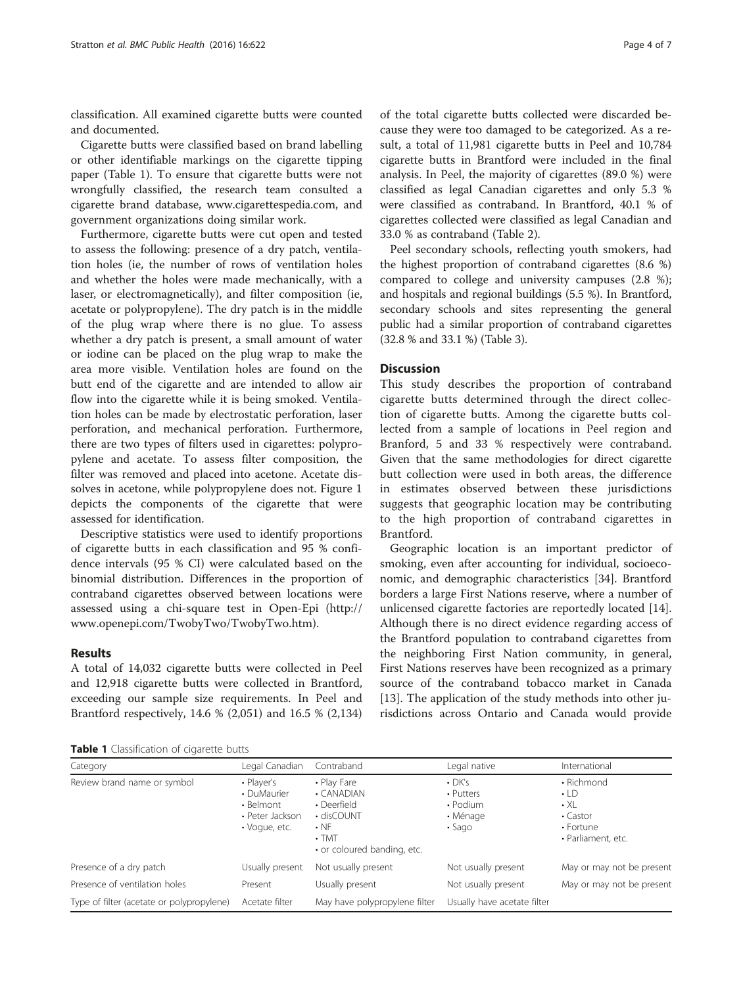classification. All examined cigarette butts were counted and documented.

Cigarette butts were classified based on brand labelling or other identifiable markings on the cigarette tipping paper (Table 1). To ensure that cigarette butts were not wrongfully classified, the research team consulted a cigarette brand database, [www.cigarettespedia.com,](http://www.cigarettespedia.com) and government organizations doing similar work.

Furthermore, cigarette butts were cut open and tested to assess the following: presence of a dry patch, ventilation holes (ie, the number of rows of ventilation holes and whether the holes were made mechanically, with a laser, or electromagnetically), and filter composition (ie, acetate or polypropylene). The dry patch is in the middle of the plug wrap where there is no glue. To assess whether a dry patch is present, a small amount of water or iodine can be placed on the plug wrap to make the area more visible. Ventilation holes are found on the butt end of the cigarette and are intended to allow air flow into the cigarette while it is being smoked. Ventilation holes can be made by electrostatic perforation, laser perforation, and mechanical perforation. Furthermore, there are two types of filters used in cigarettes: polypropylene and acetate. To assess filter composition, the filter was removed and placed into acetone. Acetate dissolves in acetone, while polypropylene does not. Figure [1](#page-4-0) depicts the components of the cigarette that were assessed for identification.

Descriptive statistics were used to identify proportions of cigarette butts in each classification and 95 % confidence intervals (95 % CI) were calculated based on the binomial distribution. Differences in the proportion of contraband cigarettes observed between locations were assessed using a chi-square test in Open-Epi [\(http://](http://www.openepi.com/TwobyTwo/TwobyTwo.htm) [www.openepi.com/TwobyTwo/TwobyTwo.htm\)](http://www.openepi.com/TwobyTwo/TwobyTwo.htm).

## Results

A total of 14,032 cigarette butts were collected in Peel and 12,918 cigarette butts were collected in Brantford, exceeding our sample size requirements. In Peel and Brantford respectively, 14.6 % (2,051) and 16.5 % (2,134)

| <b>Table 1</b> Classification of cigarette butts |  |  |
|--------------------------------------------------|--|--|
|--------------------------------------------------|--|--|

of the total cigarette butts collected were discarded because they were too damaged to be categorized. As a result, a total of 11,981 cigarette butts in Peel and 10,784 cigarette butts in Brantford were included in the final analysis. In Peel, the majority of cigarettes (89.0 %) were classified as legal Canadian cigarettes and only 5.3 % were classified as contraband. In Brantford, 40.1 % of cigarettes collected were classified as legal Canadian and 33.0 % as contraband (Table [2\)](#page-4-0).

Peel secondary schools, reflecting youth smokers, had the highest proportion of contraband cigarettes (8.6 %) compared to college and university campuses (2.8 %); and hospitals and regional buildings (5.5 %). In Brantford, secondary schools and sites representing the general public had a similar proportion of contraband cigarettes (32.8 % and 33.1 %) (Table [3\)](#page-4-0).

## **Discussion**

This study describes the proportion of contraband cigarette butts determined through the direct collection of cigarette butts. Among the cigarette butts collected from a sample of locations in Peel region and Branford, 5 and 33 % respectively were contraband. Given that the same methodologies for direct cigarette butt collection were used in both areas, the difference in estimates observed between these jurisdictions suggests that geographic location may be contributing to the high proportion of contraband cigarettes in Brantford.

Geographic location is an important predictor of smoking, even after accounting for individual, socioeconomic, and demographic characteristics [[34](#page-6-0)]. Brantford borders a large First Nations reserve, where a number of unlicensed cigarette factories are reportedly located [\[14](#page-6-0)]. Although there is no direct evidence regarding access of the Brantford population to contraband cigarettes from the neighboring First Nation community, in general, First Nations reserves have been recognized as a primary source of the contraband tobacco market in Canada [[13\]](#page-6-0). The application of the study methods into other jurisdictions across Ontario and Canada would provide

| Category                                  | Legal Canadian                                                                   | Contraband                                                                                                         | Legal native                                                      | International                                                                                     |
|-------------------------------------------|----------------------------------------------------------------------------------|--------------------------------------------------------------------------------------------------------------------|-------------------------------------------------------------------|---------------------------------------------------------------------------------------------------|
| Review brand name or symbol               | • Player's<br>• DuMaurier<br>• Belmont<br>• Peter Jackson<br>$\cdot$ Voque, etc. | • Play Fare<br>• CANADIAN<br>• Deerfield<br>• disCOUNT<br>$\cdot$ NF<br>$\cdot$ TMT<br>• or coloured banding, etc. | $\cdot$ DK's<br>• Putters<br>• Podium<br>• Ménage<br>$\cdot$ Sago | • Richmond<br>$\cdot$ LD<br>$\cdot$ XL<br>$\cdot$ Castor<br>$\cdot$ Fortune<br>· Parliament, etc. |
| Presence of a dry patch                   | Usually present                                                                  | Not usually present                                                                                                | Not usually present                                               | May or may not be present                                                                         |
| Presence of ventilation holes             | Present                                                                          | Usually present                                                                                                    | Not usually present                                               | May or may not be present                                                                         |
| Type of filter (acetate or polypropylene) | Acetate filter                                                                   | May have polypropylene filter                                                                                      | Usually have acetate filter                                       |                                                                                                   |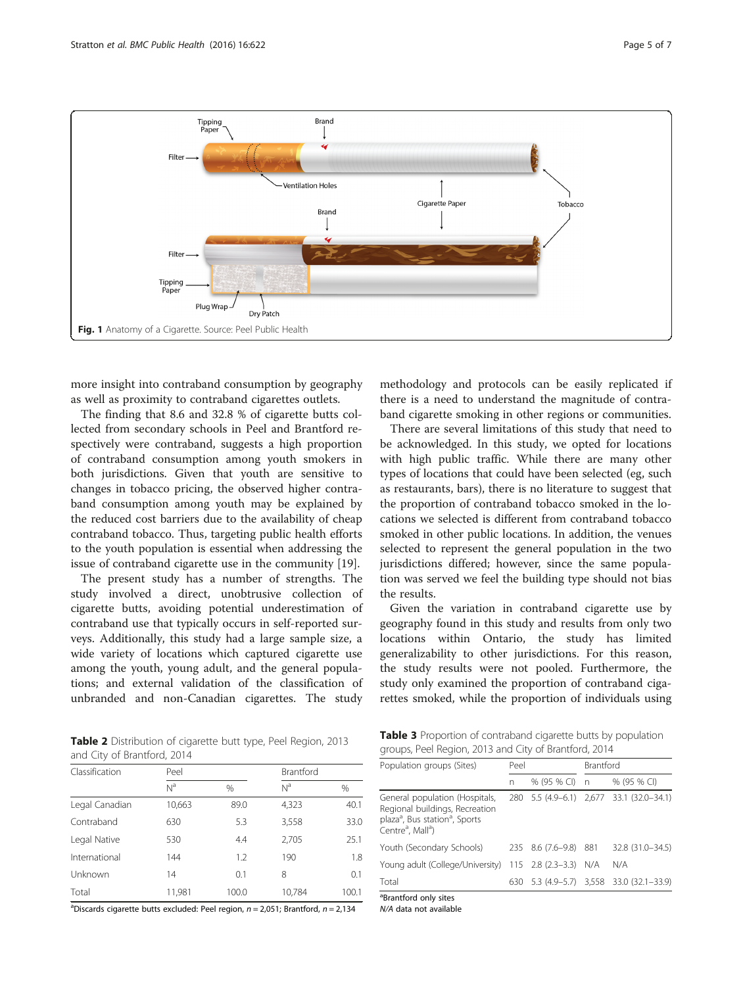<span id="page-4-0"></span>

more insight into contraband consumption by geography as well as proximity to contraband cigarettes outlets.

The finding that 8.6 and 32.8 % of cigarette butts collected from secondary schools in Peel and Brantford respectively were contraband, suggests a high proportion of contraband consumption among youth smokers in both jurisdictions. Given that youth are sensitive to changes in tobacco pricing, the observed higher contraband consumption among youth may be explained by the reduced cost barriers due to the availability of cheap contraband tobacco. Thus, targeting public health efforts to the youth population is essential when addressing the issue of contraband cigarette use in the community [[19](#page-6-0)].

The present study has a number of strengths. The study involved a direct, unobtrusive collection of cigarette butts, avoiding potential underestimation of contraband use that typically occurs in self-reported surveys. Additionally, this study had a large sample size, a wide variety of locations which captured cigarette use among the youth, young adult, and the general populations; and external validation of the classification of unbranded and non-Canadian cigarettes. The study

methodology and protocols can be easily replicated if there is a need to understand the magnitude of contraband cigarette smoking in other regions or communities.

There are several limitations of this study that need to be acknowledged. In this study, we opted for locations with high public traffic. While there are many other types of locations that could have been selected (eg, such as restaurants, bars), there is no literature to suggest that the proportion of contraband tobacco smoked in the locations we selected is different from contraband tobacco smoked in other public locations. In addition, the venues selected to represent the general population in the two jurisdictions differed; however, since the same population was served we feel the building type should not bias the results.

Given the variation in contraband cigarette use by geography found in this study and results from only two locations within Ontario, the study has limited generalizability to other jurisdictions. For this reason, the study results were not pooled. Furthermore, the study only examined the proportion of contraband cigarettes smoked, while the proportion of individuals using

Table 2 Distribution of cigarette butt type, Peel Region, 2013 and City of Brantford, 2014

| Classification | Peel           |       | Brantford      |       |
|----------------|----------------|-------|----------------|-------|
|                | N <sup>a</sup> | $\%$  | N <sup>a</sup> | %     |
| Legal Canadian | 10,663         | 89.0  | 4,323          | 40.1  |
| Contraband     | 630            | 5.3   | 3,558          | 33.0  |
| Legal Native   | 530            | 4.4   | 2,705          | 25.1  |
| International  | 144            | 1.2   | 190            | 1.8   |
| Unknown        | 14             | 0.1   | 8              | 0.1   |
| Total          | 11,981         | 100.0 | 10,784         | 100.1 |

<sup>a</sup>Discards cigarette butts excluded: Peel region,  $n = 2,051$ ; Brantford,  $n = 2,134$ 

Table 3 Proportion of contraband cigarette butts by population groups, Peel Region, 2013 and City of Brantford, 2014

| Population groups (Sites)                                                                                                                                               | Peel |                       | Brantford |                                          |
|-------------------------------------------------------------------------------------------------------------------------------------------------------------------------|------|-----------------------|-----------|------------------------------------------|
|                                                                                                                                                                         | n    | % (95 % CI) n         |           | % (95 % CI)                              |
| General population (Hospitals,<br>Regional buildings, Recreation<br>plaza <sup>a</sup> , Bus station <sup>a</sup> , Sports<br>Centre <sup>a</sup> , Mall <sup>a</sup> ) |      |                       |           | 280 5.5 (4.9-6.1) 2,677 33.1 (32.0-34.1) |
| Youth (Secondary Schools)                                                                                                                                               |      | 235 8.6 (7.6-9.8) 881 |           | 32.8 (31.0-34.5)                         |
| Young adult (College/University) 115 2.8 (2.3-3.3)                                                                                                                      |      |                       | N/A       | N/A                                      |
| Total                                                                                                                                                                   |      |                       |           | 630 5.3 (4.9-5.7) 3,558 33.0 (32.1-33.9) |
| <sup>a</sup> Brantford only sites                                                                                                                                       |      |                       |           |                                          |

N/A data not available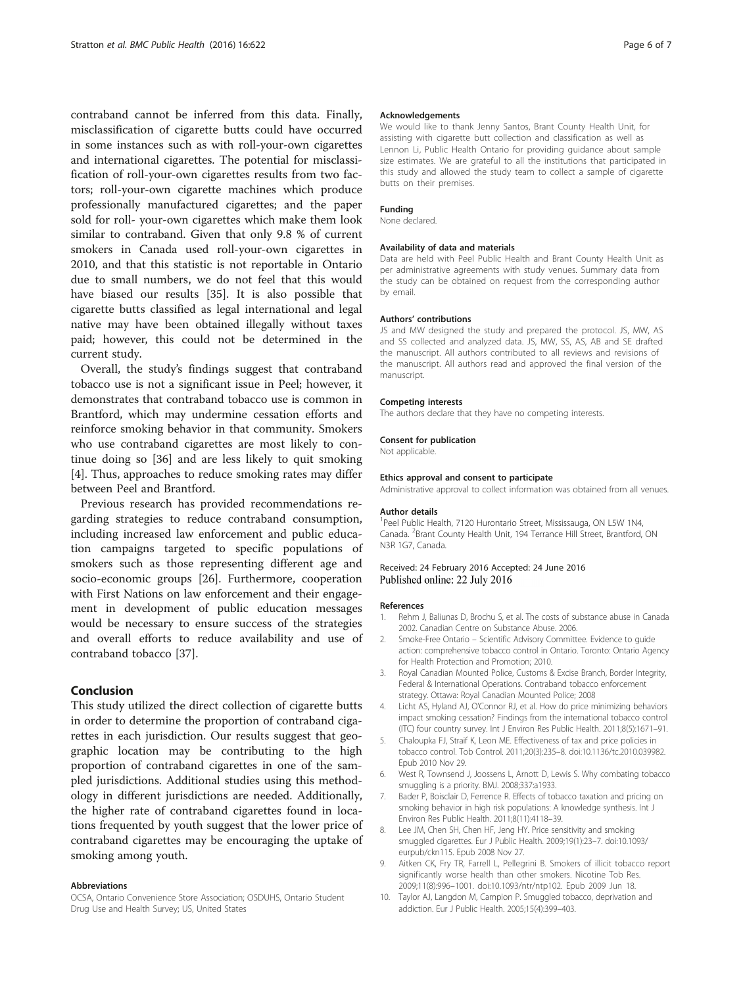<span id="page-5-0"></span>contraband cannot be inferred from this data. Finally, misclassification of cigarette butts could have occurred in some instances such as with roll-your-own cigarettes and international cigarettes. The potential for misclassification of roll-your-own cigarettes results from two factors; roll-your-own cigarette machines which produce professionally manufactured cigarettes; and the paper sold for roll- your-own cigarettes which make them look similar to contraband. Given that only 9.8 % of current smokers in Canada used roll-your-own cigarettes in 2010, and that this statistic is not reportable in Ontario due to small numbers, we do not feel that this would have biased our results [[35](#page-6-0)]. It is also possible that cigarette butts classified as legal international and legal native may have been obtained illegally without taxes paid; however, this could not be determined in the current study.

Overall, the study's findings suggest that contraband tobacco use is not a significant issue in Peel; however, it demonstrates that contraband tobacco use is common in Brantford, which may undermine cessation efforts and reinforce smoking behavior in that community. Smokers who use contraband cigarettes are most likely to continue doing so [\[36](#page-6-0)] and are less likely to quit smoking [4]. Thus, approaches to reduce smoking rates may differ between Peel and Brantford.

Previous research has provided recommendations regarding strategies to reduce contraband consumption, including increased law enforcement and public education campaigns targeted to specific populations of smokers such as those representing different age and socio-economic groups [\[26](#page-6-0)]. Furthermore, cooperation with First Nations on law enforcement and their engagement in development of public education messages would be necessary to ensure success of the strategies and overall efforts to reduce availability and use of contraband tobacco [[37\]](#page-6-0).

## Conclusion

This study utilized the direct collection of cigarette butts in order to determine the proportion of contraband cigarettes in each jurisdiction. Our results suggest that geographic location may be contributing to the high proportion of contraband cigarettes in one of the sampled jurisdictions. Additional studies using this methodology in different jurisdictions are needed. Additionally, the higher rate of contraband cigarettes found in locations frequented by youth suggest that the lower price of contraband cigarettes may be encouraging the uptake of smoking among youth.

#### Abbreviations

OCSA, Ontario Convenience Store Association; OSDUHS, Ontario Student Drug Use and Health Survey; US, United States

#### Acknowledgements

We would like to thank Jenny Santos, Brant County Health Unit, for assisting with cigarette butt collection and classification as well as Lennon Li, Public Health Ontario for providing guidance about sample size estimates. We are grateful to all the institutions that participated in this study and allowed the study team to collect a sample of cigarette butts on their premises.

## Funding

None declared.

#### Availability of data and materials

Data are held with Peel Public Health and Brant County Health Unit as per administrative agreements with study venues. Summary data from the study can be obtained on request from the corresponding author by email.

### Authors' contributions

JS and MW designed the study and prepared the protocol. JS, MW, AS and SS collected and analyzed data. JS, MW, SS, AS, AB and SE drafted the manuscript. All authors contributed to all reviews and revisions of the manuscript. All authors read and approved the final version of the manuscript.

#### Competing interests

The authors declare that they have no competing interests.

#### Consent for publication

Not applicable.

#### Ethics approval and consent to participate

Administrative approval to collect information was obtained from all venues.

#### Author details

<sup>1</sup> Peel Public Health, 7120 Hurontario Street, Mississauga, ON L5W 1N4 Canada. <sup>2</sup>Brant County Health Unit, 194 Terrance Hill Street, Brantford, ON N3R 1G7, Canada.

## Received: 24 February 2016 Accepted: 24 June 2016 Published online: 22 July 2016

### References

- 1. Rehm J, Baliunas D, Brochu S, et al. The costs of substance abuse in Canada 2002. Canadian Centre on Substance Abuse. 2006.
- 2. Smoke-Free Ontario Scientific Advisory Committee. Evidence to guide action: comprehensive tobacco control in Ontario. Toronto: Ontario Agency for Health Protection and Promotion; 2010.
- 3. Royal Canadian Mounted Police, Customs & Excise Branch, Border Integrity, Federal & International Operations. Contraband tobacco enforcement strategy. Ottawa: Royal Canadian Mounted Police; 2008
- 4. Licht AS, Hyland AJ, O'Connor RJ, et al. How do price minimizing behaviors impact smoking cessation? Findings from the international tobacco control (ITC) four country survey. Int J Environ Res Public Health. 2011;8(5):1671–91.
- 5. Chaloupka FJ, Straif K, Leon ME. Effectiveness of tax and price policies in tobacco control. Tob Control. 2011;20(3):235–8. doi:[10.1136/tc.2010.039982.](http://dx.doi.org/10.1136/tc.2010.039982) Epub 2010 Nov 29.
- 6. West R, Townsend J, Joossens L, Arnott D, Lewis S. Why combating tobacco smuggling is a priority. BMJ. 2008;337:a1933.
- 7. Bader P, Boisclair D, Ferrence R. Effects of tobacco taxation and pricing on smoking behavior in high risk populations: A knowledge synthesis. Int J Environ Res Public Health. 2011;8(11):4118–39.
- 8. Lee JM, Chen SH, Chen HF, Jeng HY. Price sensitivity and smoking smuggled cigarettes. Eur J Public Health. 2009;19(1):23–7. doi:[10.1093/](http://dx.doi.org/10.1093/eurpub/ckn115) [eurpub/ckn115.](http://dx.doi.org/10.1093/eurpub/ckn115) Epub 2008 Nov 27.
- 9. Aitken CK, Fry TR, Farrell L, Pellegrini B. Smokers of illicit tobacco report significantly worse health than other smokers. Nicotine Tob Res. 2009;11(8):996–1001. doi:[10.1093/ntr/ntp102.](http://dx.doi.org/10.1093/ntr/ntp102) Epub 2009 Jun 18.
- 10. Taylor AJ, Langdon M, Campion P. Smuggled tobacco, deprivation and addiction. Eur J Public Health. 2005;15(4):399–403.